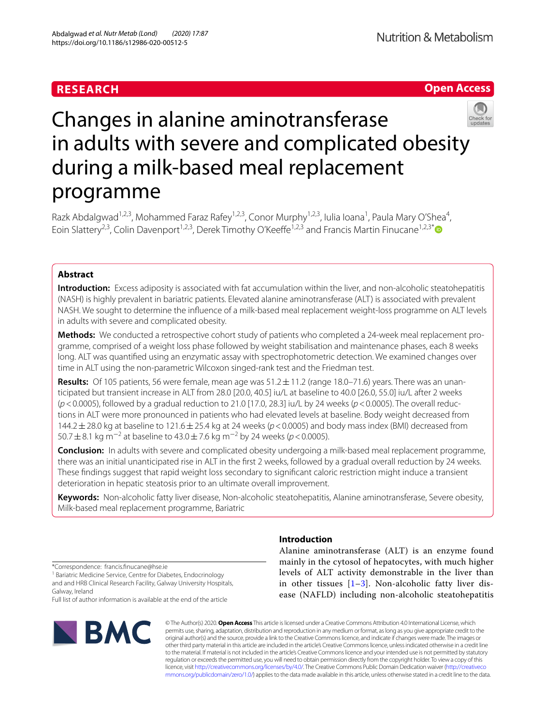# **RESEARCH**





# Changes in alanine aminotransferase in adults with severe and complicated obesity during a milk-based meal replacement programme

Razk Abdalgwad<sup>1,2,3</sup>, Mohammed Faraz Rafey<sup>1,2,3</sup>, Conor Murphy<sup>1,2,3</sup>, Iulia Ioana<sup>1</sup>, Paula Mary O'Shea<sup>4</sup>, Eoin Slattery<sup>2,3</sup>, Colin Davenport<sup>1,2,3</sup>, Derek Timothy O'Keeffe<sup>1,2,3</sup> and Francis Martin Finucane<sup>1,2,3[\\*](http://orcid.org/0000-0002-5374-7090)</sup>

# **Abstract**

**Introduction:** Excess adiposity is associated with fat accumulation within the liver, and non-alcoholic steatohepatitis (NASH) is highly prevalent in bariatric patients. Elevated alanine aminotransferase (ALT) is associated with prevalent NASH. We sought to determine the infuence of a milk-based meal replacement weight-loss programme on ALT levels in adults with severe and complicated obesity.

**Methods:** We conducted a retrospective cohort study of patients who completed a 24-week meal replacement programme, comprised of a weight loss phase followed by weight stabilisation and maintenance phases, each 8 weeks long. ALT was quantifed using an enzymatic assay with spectrophotometric detection. We examined changes over time in ALT using the non-parametric Wilcoxon singed-rank test and the Friedman test.

**Results:** Of 105 patients, 56 were female, mean age was 51.2±11.2 (range 18.0–71.6) years. There was an unanticipated but transient increase in ALT from 28.0 [20.0, 40.5] iu/L at baseline to 40.0 [26.0, 55.0] iu/L after 2 weeks (*p*<0.0005), followed by a gradual reduction to 21.0 [17.0, 28.3] iu/L by 24 weeks (*p*<0.0005). The overall reductions in ALT were more pronounced in patients who had elevated levels at baseline. Body weight decreased from 144.2±28.0 kg at baseline to 121.6±25.4 kg at 24 weeks (*p*<0.0005) and body mass index (BMI) decreased from 50.7±8.1 kg m<sup>-2</sup> at baseline to 43.0±7.6 kg m<sup>-2</sup> by 24 weeks (*p* < 0.0005).

**Conclusion:** In adults with severe and complicated obesity undergoing a milk-based meal replacement programme, there was an initial unanticipated rise in ALT in the frst 2 weeks, followed by a gradual overall reduction by 24 weeks. These fndings suggest that rapid weight loss secondary to signifcant caloric restriction might induce a transient deterioration in hepatic steatosis prior to an ultimate overall improvement.

**Keywords:** Non-alcoholic fatty liver disease, Non-alcoholic steatohepatitis, Alanine aminotransferase, Severe obesity, Milk-based meal replacement programme, Bariatric

\*Correspondence: francis.fnucane@hse.ie

<sup>1</sup> Bariatric Medicine Service, Centre for Diabetes, Endocrinology and and HRB Clinical Research Facility, Galway University Hospitals, Galway, Ireland

Full list of author information is available at the end of the article



# **Introduction**

Alanine aminotransferase (ALT) is an enzyme found mainly in the cytosol of hepatocytes, with much higher levels of ALT activity demonstrable in the liver than in other tissues  $[1-3]$  $[1-3]$ . Non-alcoholic fatty liver disease (NAFLD) including non-alcoholic steatohepatitis

© The Author(s) 2020. **Open Access** This article is licensed under a Creative Commons Attribution 4.0 International License, which permits use, sharing, adaptation, distribution and reproduction in any medium or format, as long as you give appropriate credit to the original author(s) and the source, provide a link to the Creative Commons licence, and indicate if changes were made. The images or other third party material in this article are included in the article's Creative Commons licence, unless indicated otherwise in a credit line to the material. If material is not included in the article's Creative Commons licence and your intended use is not permitted by statutory regulation or exceeds the permitted use, you will need to obtain permission directly from the copyright holder. To view a copy of this licence, visit [http://creativecommons.org/licenses/by/4.0/.](http://creativecommons.org/licenses/by/4.0/) The Creative Commons Public Domain Dedication waiver ([http://creativeco](http://creativecommons.org/publicdomain/zero/1.0/) [mmons.org/publicdomain/zero/1.0/](http://creativecommons.org/publicdomain/zero/1.0/)) applies to the data made available in this article, unless otherwise stated in a credit line to the data.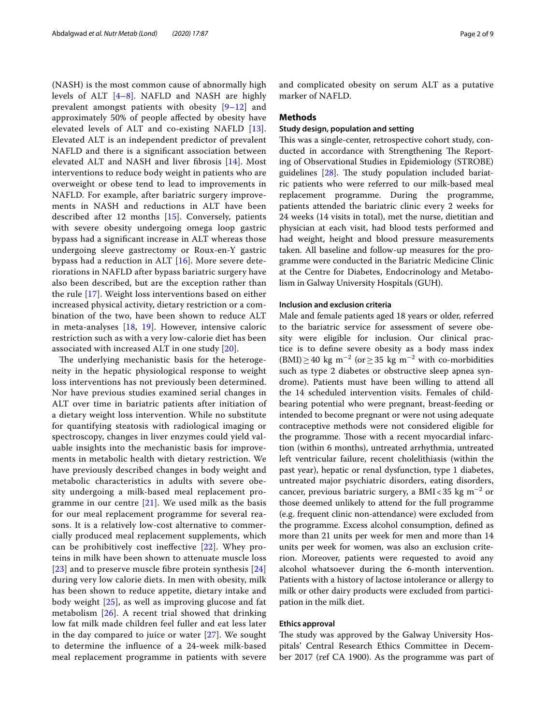(NASH) is the most common cause of abnormally high levels of ALT [\[4–](#page-7-2)[8\]](#page-7-3). NAFLD and NASH are highly prevalent amongst patients with obesity [[9](#page-7-4)[–12](#page-7-5)] and approximately 50% of people afected by obesity have elevated levels of ALT and co-existing NAFLD [[13\]](#page-7-6). Elevated ALT is an independent predictor of prevalent NAFLD and there is a signifcant association between elevated ALT and NASH and liver fbrosis [[14](#page-7-7)]. Most interventions to reduce body weight in patients who are overweight or obese tend to lead to improvements in NAFLD. For example, after bariatric surgery improvements in NASH and reductions in ALT have been described after 12 months [[15\]](#page-7-8). Conversely, patients with severe obesity undergoing omega loop gastric bypass had a signifcant increase in ALT whereas those undergoing sleeve gastrectomy or Roux-en-Y gastric bypass had a reduction in ALT [[16\]](#page-7-9). More severe deteriorations in NAFLD after bypass bariatric surgery have also been described, but are the exception rather than the rule [[17\]](#page-7-10). Weight loss interventions based on either increased physical activity, dietary restriction or a combination of the two, have been shown to reduce ALT in meta-analyses [\[18,](#page-7-11) [19\]](#page-7-12). However, intensive caloric restriction such as with a very low-calorie diet has been associated with increased ALT in one study [[20](#page-7-13)].

The underlying mechanistic basis for the heterogeneity in the hepatic physiological response to weight loss interventions has not previously been determined. Nor have previous studies examined serial changes in ALT over time in bariatric patients after initiation of a dietary weight loss intervention. While no substitute for quantifying steatosis with radiological imaging or spectroscopy, changes in liver enzymes could yield valuable insights into the mechanistic basis for improvements in metabolic health with dietary restriction. We have previously described changes in body weight and metabolic characteristics in adults with severe obesity undergoing a milk-based meal replacement programme in our centre [\[21](#page-7-14)]. We used milk as the basis for our meal replacement programme for several reasons. It is a relatively low-cost alternative to commercially produced meal replacement supplements, which can be prohibitively cost inefective [\[22](#page-7-15)]. Whey proteins in milk have been shown to attenuate muscle loss [[23](#page-7-16)] and to preserve muscle fbre protein synthesis [\[24](#page-7-17)] during very low calorie diets. In men with obesity, milk has been shown to reduce appetite, dietary intake and body weight [[25\]](#page-7-18), as well as improving glucose and fat metabolism [[26\]](#page-7-19). A recent trial showed that drinking low fat milk made children feel fuller and eat less later in the day compared to juice or water [[27\]](#page-7-20). We sought to determine the infuence of a 24-week milk-based meal replacement programme in patients with severe and complicated obesity on serum ALT as a putative marker of NAFLD.

# **Methods**

# **Study design, population and setting**

This was a single-center, retrospective cohort study, conducted in accordance with Strengthening The Reporting of Observational Studies in Epidemiology (STROBE) guidelines  $[28]$  $[28]$ . The study population included bariatric patients who were referred to our milk-based meal replacement programme. During the programme, patients attended the bariatric clinic every 2 weeks for 24 weeks (14 visits in total), met the nurse, dietitian and physician at each visit, had blood tests performed and had weight, height and blood pressure measurements taken. All baseline and follow-up measures for the programme were conducted in the Bariatric Medicine Clinic at the Centre for Diabetes, Endocrinology and Metabolism in Galway University Hospitals (GUH).

# **Inclusion and exclusion criteria**

Male and female patients aged 18 years or older, referred to the bariatric service for assessment of severe obesity were eligible for inclusion. Our clinical practice is to defne severe obesity as a body mass index  $(BMI) \ge 40 \text{ kg m}^{-2}$  (or  $\ge 35 \text{ kg m}^{-2}$  with co-morbidities such as type 2 diabetes or obstructive sleep apnea syndrome). Patients must have been willing to attend all the 14 scheduled intervention visits. Females of childbearing potential who were pregnant, breast-feeding or intended to become pregnant or were not using adequate contraceptive methods were not considered eligible for the programme. Those with a recent myocardial infarction (within 6 months), untreated arrhythmia, untreated left ventricular failure, recent cholelithiasis (within the past year), hepatic or renal dysfunction, type 1 diabetes, untreated major psychiatric disorders, eating disorders, cancer, previous bariatric surgery, a BMI<35 kg  $m^{-2}$  or those deemed unlikely to attend for the full programme (e.g. frequent clinic non-attendance) were excluded from the programme. Excess alcohol consumption, defned as more than 21 units per week for men and more than 14 units per week for women, was also an exclusion criterion. Moreover, patients were requested to avoid any alcohol whatsoever during the 6-month intervention. Patients with a history of lactose intolerance or allergy to milk or other dairy products were excluded from participation in the milk diet.

# **Ethics approval**

The study was approved by the Galway University Hospitals' Central Research Ethics Committee in December 2017 (ref CA 1900). As the programme was part of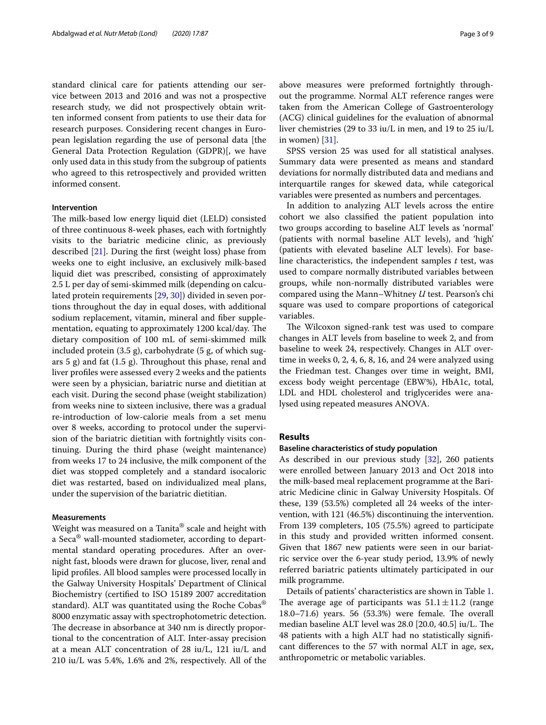standard clinical care for patients attending our service between 2013 and 2016 and was not a prospective research study, we did not prospectively obtain written informed consent from patients to use their data for research purposes. Considering recent changes in European legislation regarding the use of personal data [the General Data Protection Regulation (GDPR)[, we have only used data in this study from the subgroup of patients who agreed to this retrospectively and provided written informed consent.

### **Intervention**

The milk-based low energy liquid diet (LELD) consisted of three continuous 8-week phases, each with fortnightly visits to the bariatric medicine clinic, as previously described [[21\]](#page-7-14). During the frst (weight loss) phase from weeks one to eight inclusive, an exclusively milk-based liquid diet was prescribed, consisting of approximately 2.5 L per day of semi-skimmed milk (depending on calculated protein requirements [[29](#page-7-22), [30\]](#page-7-23)) divided in seven portions throughout the day in equal doses, with additional sodium replacement, vitamin, mineral and fiber supplementation, equating to approximately 1200 kcal/day. The dietary composition of 100 mL of semi-skimmed milk included protein (3.5 g), carbohydrate (5 g, of which sugars 5 g) and fat  $(1.5 \text{ g})$ . Throughout this phase, renal and liver profles were assessed every 2 weeks and the patients were seen by a physician, bariatric nurse and dietitian at each visit. During the second phase (weight stabilization) from weeks nine to sixteen inclusive, there was a gradual re-introduction of low-calorie meals from a set menu over 8 weeks, according to protocol under the supervision of the bariatric dietitian with fortnightly visits continuing. During the third phase (weight maintenance) from weeks 17 to 24 inclusive, the milk component of the diet was stopped completely and a standard isocaloric diet was restarted, based on individualized meal plans, under the supervision of the bariatric dietitian.

# **Measurements**

Weight was measured on a Tanita® scale and height with a Seca® wall-mounted stadiometer, according to departmental standard operating procedures. After an overnight fast, bloods were drawn for glucose, liver, renal and lipid profles. All blood samples were processed locally in the Galway University Hospitals' Department of Clinical Biochemistry (certifed to ISO 15189 2007 accreditation standard). ALT was quantitated using the Roche Cobas® 8000 enzymatic assay with spectrophotometric detection. The decrease in absorbance at 340 nm is directly proportional to the concentration of ALT. Inter-assay precision at a mean ALT concentration of 28 iu/L, 121 iu/L and 210 iu/L was 5.4%, 1.6% and 2%, respectively. All of the above measures were preformed fortnightly throughout the programme. Normal ALT reference ranges were taken from the American College of Gastroenterology (ACG) clinical guidelines for the evaluation of abnormal liver chemistries (29 to 33 iu/L in men, and 19 to 25 iu/L in women) [\[31\]](#page-7-24).

SPSS version 25 was used for all statistical analyses. Summary data were presented as means and standard deviations for normally distributed data and medians and interquartile ranges for skewed data, while categorical variables were presented as numbers and percentages.

In addition to analyzing ALT levels across the entire cohort we also classifed the patient population into two groups according to baseline ALT levels as 'normal' (patients with normal baseline ALT levels), and 'high' (patients with elevated baseline ALT levels). For baseline characteristics, the independent samples *t* test, was used to compare normally distributed variables between groups, while non-normally distributed variables were compared using the Mann–Whitney *U* test. Pearson's chi square was used to compare proportions of categorical variables.

The Wilcoxon signed-rank test was used to compare changes in ALT levels from baseline to week 2, and from baseline to week 24, respectively. Changes in ALT overtime in weeks 0, 2, 4, 6, 8, 16, and 24 were analyzed using the Friedman test. Changes over time in weight, BMI, excess body weight percentage (EBW%), HbA1c, total, LDL and HDL cholesterol and triglycerides were analysed using repeated measures ANOVA.

# **Results**

#### **Baseline characteristics of study population**

As described in our previous study [[32](#page-7-25)], 260 patients were enrolled between January 2013 and Oct 2018 into the milk-based meal replacement programme at the Bariatric Medicine clinic in Galway University Hospitals. Of these, 139 (53.5%) completed all 24 weeks of the intervention, with 121 (46.5%) discontinuing the intervention. From 139 completers, 105 (75.5%) agreed to participate in this study and provided written informed consent. Given that 1867 new patients were seen in our bariatric service over the 6-year study period, 13.9% of newly referred bariatric patients ultimately participated in our milk programme.

Details of patients' characteristics are shown in Table [1](#page-3-0). The average age of participants was  $51.1 \pm 11.2$  (range  $18.0 - 71.6$ ) years. 56  $(53.3%)$  were female. The overall median baseline ALT level was 28.0 [20.0, 40.5] iu/L. The 48 patients with a high ALT had no statistically signifcant diferences to the 57 with normal ALT in age, sex, anthropometric or metabolic variables.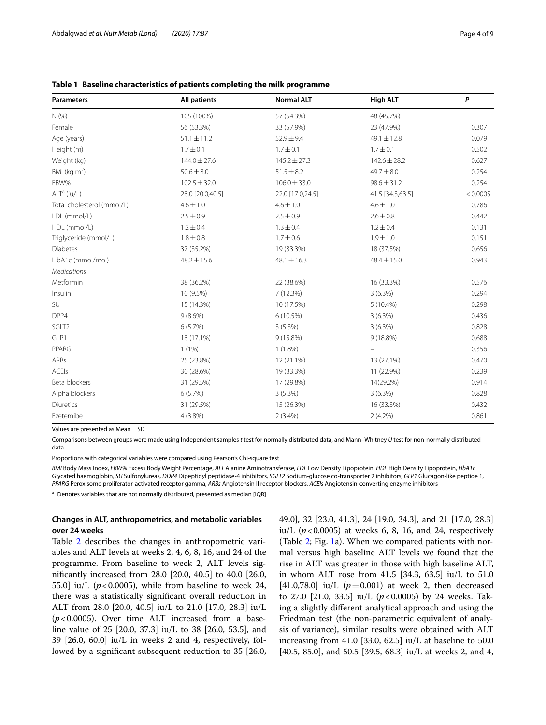| <b>Parameters</b>          | <b>All patients</b> | <b>Normal ALT</b> | <b>High ALT</b>  | P        |
|----------------------------|---------------------|-------------------|------------------|----------|
| N(% )                      | 105 (100%)          | 57 (54.3%)        | 48 (45.7%)       |          |
| Female                     | 56 (53.3%)          | 33 (57.9%)        | 23 (47.9%)       | 0.307    |
| Age (years)                | $51.1 \pm 11.2$     | $52.9 \pm 9.4$    | $49.1 \pm 12.8$  | 0.079    |
| Height (m)                 | $1.7 \pm 0.1$       | $1.7 \pm 0.1$     | $1.7 \pm 0.1$    | 0.502    |
| Weight (kg)                | $144.0 \pm 27.6$    | $145.2 \pm 27.3$  | $142.6 \pm 28.2$ | 0.627    |
| BMI ( $kg m2$ )            | $50.6 \pm 8.0$      | $51.5 \pm 8.2$    | $49.7 \pm 8.0$   | 0.254    |
| EBW%                       | $102.5 \pm 32.0$    | $106.0 \pm 33.0$  | $98.6 \pm 31.2$  | 0.254    |
| $ALTa$ (iu/L)              | 28.0 [20.0,40.5]    | 22.0 [17.0,24.5]  | 41.5 [34.3,63.5] | < 0.0005 |
| Total cholesterol (mmol/L) | $4.6 \pm 1.0$       | $4.6 \pm 1.0$     | $4.6 \pm 1.0$    | 0.786    |
| LDL (mmol/L)               | $2.5 \pm 0.9$       | $2.5 \pm 0.9$     | $2.6 \pm 0.8$    | 0.442    |
| HDL (mmol/L)               | $1.2 \pm 0.4$       | $1.3 \pm 0.4$     | $1.2 \pm 0.4$    | 0.131    |
| Triglyceride (mmol/L)      | $1.8 \pm 0.8$       | $1.7 \pm 0.6$     | $1.9 \pm 1.0$    | 0.151    |
| <b>Diabetes</b>            | 37 (35.2%)          | 19 (33.3%)        | 18 (37.5%)       | 0.656    |
| HbA1c (mmol/mol)           | $48.2 \pm 15.6$     | $48.1 \pm 16.3$   | $48.4 \pm 15.0$  | 0.943    |
| <b>Medications</b>         |                     |                   |                  |          |
| Metformin                  | 38 (36.2%)          | 22 (38.6%)        | 16 (33.3%)       | 0.576    |
| Insulin                    | 10 (9.5%)           | 7(12.3%)          | $3(6.3\%)$       | 0.294    |
| SU                         | 15 (14.3%)          | 10 (17.5%)        | $5(10.4\%)$      | 0.298    |
| DPP4                       | $9(8.6\%)$          | 6(10.5%)          | $3(6.3\%)$       | 0.436    |
| SGLT <sub>2</sub>          | 6(5.7%)             | 3(5.3%)           | $3(6.3\%)$       | 0.828    |
| GLP1                       | 18 (17.1%)          | $9(15.8\%)$       | 9(18.8%)         | 0.688    |
| PPARG                      | 1(1%)               | $1(1.8\%)$        |                  | 0.356    |
| ARBs                       | 25 (23.8%)          | 12 (21.1%)        | 13 (27.1%)       | 0.470    |
| ACEIs                      | 30 (28.6%)          | 19 (33.3%)        | 11 (22.9%)       | 0.239    |
| Beta blockers              | 31 (29.5%)          | 17 (29.8%)        | 14(29.2%)        | 0.914    |
| Alpha blockers             | 6(5.7%)             | 3(5.3%)           | $3(6.3\%)$       | 0.828    |
| Diuretics                  | 31 (29.5%)          | 15 (26.3%)        | 16 (33.3%)       | 0.432    |
| Ezetemibe                  | 4 (3.8%)            | $2(3.4\%)$        | $2(4.2\%)$       | 0.861    |

<span id="page-3-0"></span>

|  |  |  |  |  | Table 1 Baseline characteristics of patients completing the milk programme |
|--|--|--|--|--|----------------------------------------------------------------------------|
|--|--|--|--|--|----------------------------------------------------------------------------|

Values are presented as Mean $\pm$ SD

Comparisons between groups were made using Independent samples *t* test for normally distributed data, and Mann–Whitney *U* test for non-normally distributed data

Proportions with categorical variables were compared using Pearson's Chi-square test

*BMI* Body Mass Index, *EBW%* Excess Body Weight Percentage, *ALT* Alanine Aminotransferase, *LDL* Low Density Lipoprotein, *HDL* High Density Lipoprotein, *HbA1c* Glycated haemoglobin, *SU* Sulfonylureas, *DDP4* Dipeptidyl peptidase-4 inhibitors, *SGLT2* Sodium-glucose co-transporter 2 inhibitors, *GLP1* Glucagon-like peptide 1, *PPARG* Peroxisome proliferator-activated receptor gamma, *ARBs* Angiotensin II receptor blockers, *ACEIs* Angiotensin-converting enzyme inhibitors

<sup>a</sup> Denotes variables that are not normally distributed, presented as median [IQR]

# **Changes in ALT, anthropometrics, and metabolic variables over 24 weeks**

Table [2](#page-4-0) describes the changes in anthropometric variables and ALT levels at weeks 2, 4, 6, 8, 16, and 24 of the programme. From baseline to week 2, ALT levels signifcantly increased from 28.0 [20.0, 40.5] to 40.0 [26.0, 55.0] iu/L  $(p < 0.0005)$ , while from baseline to week 24, there was a statistically signifcant overall reduction in ALT from 28.0 [20.0, 40.5] iu/L to 21.0 [17.0, 28.3] iu/L (*p*<0.0005). Over time ALT increased from a baseline value of 25 [20.0, 37.3] iu/L to 38 [26.0, 53.5], and 39 [26.0, 60.0] iu/L in weeks 2 and 4, respectively, followed by a signifcant subsequent reduction to 35 [26.0, 49.0], 32 [23.0, 41.3], 24 [19.0, 34.3], and 21 [17.0, 28.3] iu/L  $(p<0.0005)$  at weeks 6, 8, 16, and 24, respectively (Table [2](#page-4-0); Fig. [1a](#page-5-0)). When we compared patients with normal versus high baseline ALT levels we found that the rise in ALT was greater in those with high baseline ALT, in whom ALT rose from 41.5 [34.3, 63.5] iu/L to 51.0 [41.0,78.0]  $iu/L$  ( $p = 0.001$ ) at week 2, then decreased to 27.0 [21.0, 33.5] iu/L (*p*<0.0005) by 24 weeks. Taking a slightly diferent analytical approach and using the Friedman test (the non-parametric equivalent of analysis of variance), similar results were obtained with ALT increasing from 41.0 [33.0, 62.5] iu/L at baseline to 50.0 [40.5, 85.0], and 50.5 [39.5, 68.3] iu/L at weeks 2, and 4,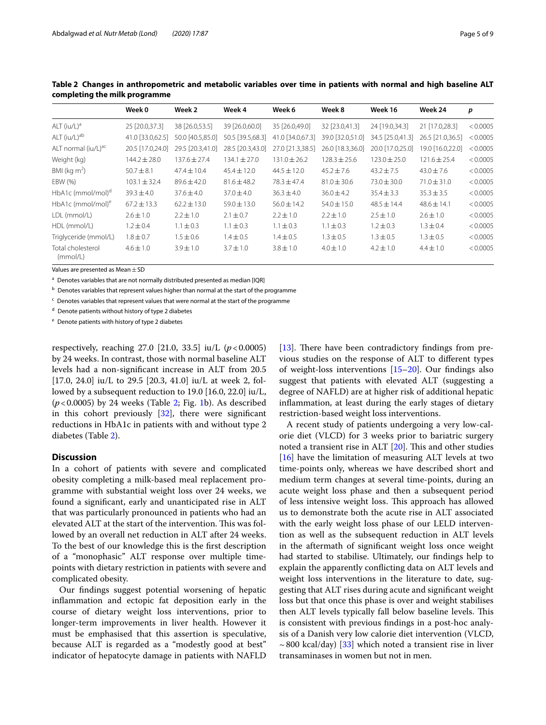|                                 | Week 0           | Week 2           | Week 4           | Week 6           | Week 8           | Week 16          | Week 24          | p        |
|---------------------------------|------------------|------------------|------------------|------------------|------------------|------------------|------------------|----------|
| ALT $(iu/L)^a$                  | 25 [20.0,37.3]   | 38 [26.0,53.5]   | 39 [26.0,60.0]   | 35 [26.0,49.0]   | 32 [23.0,41.3]   | 24 [19.0,34.3]   | 21 [17.0,28.3]   | < 0.0005 |
| ALT (iu/L) <sup>ab</sup>        | 41.0 [33.0,62.5] | 50.0 [40.5,85.0] | 50.5 [39.5,68.3] | 41.0 [34.0,67.3] | 39.0 [32.0,51.0] | 34.5 [25.0,41.3] | 26.5 [21.0,36.5] | < 0.0005 |
| ALT normal (iu/L) <sup>ac</sup> | 20.5 [17.0,24.0] | 29.5 [20.3,41.0] | 28.5 [20.3,43.0] | 27.0 [21.3,38.5] | 26.0 [18.3,36.0] | 20.0 [17.0,25.0] | 19.0 [16.0,22.0] | < 0.0005 |
| Weight (kg)                     | $144.2 \pm 28.0$ | $137.6 \pm 27.4$ | $134.1 \pm 27.0$ | $131.0 \pm 26.2$ | $128.3 \pm 25.6$ | $123.0 \pm 25.0$ | $121.6 \pm 25.4$ | < 0.0005 |
| BMI ( $kg m2$ )                 | $50.7 \pm 8.1$   | $47.4 \pm 10.4$  | $45.4 \pm 12.0$  | $44.5 \pm 12.0$  | $45.2 \pm 7.6$   | $43.2 \pm 7.5$   | $43.0 + 7.6$     | < 0.0005 |
| EBW (%)                         | $103.1 \pm 32.4$ | $89.6 \pm 42.0$  | $81.6 \pm 48.2$  | $78.3 \pm 47.4$  | $81.0 \pm 30.6$  | $73.0 \pm 30.0$  | $71.0 \pm 31.0$  | < 0.0005 |
| HbA1c (mmol/mol) <sup>d</sup>   | $39.3 \pm 4.0$   | $37.6 \pm 4.0$   | $37.0 \pm 4.0$   | $36.3 \pm 4.0$   | $36.0 \pm 4.2$   | $35.4 \pm 3.3$   | $35.3 \pm 3.5$   | < 0.0005 |
| HbA1c (mmol/mol) <sup>e</sup>   | $67.2 \pm 13.3$  | $62.2 \pm 13.0$  | $59.0 \pm 13.0$  | $56.0 \pm 14.2$  | $54.0 \pm 15.0$  | $48.5 \pm 14.4$  | $48.6 \pm 14.1$  | < 0.0005 |
| LDL (mmol/L)                    | $2.6 \pm 1.0$    | $2.2 \pm 1.0$    | $2.1 \pm 0.7$    | $2.2 \pm 1.0$    | $2.2 \pm 1.0$    | $2.5 \pm 1.0$    | $2.6 \pm 1.0$    | < 0.0005 |
| HDL (mmol/L)                    | $1.2 \pm 0.4$    | $1.1 \pm 0.3$    | $1.1 \pm 0.3$    | $1.1 \pm 0.3$    | $1.1 \pm 0.3$    | $1.2 \pm 0.3$    | $1.3 \pm 0.4$    | < 0.0005 |
| Triglyceride (mmol/L)           | $1.8 \pm 0.7$    | $1.5 \pm 0.6$    | $1.4 \pm 0.5$    | $1.4 \pm 0.5$    | $1.3 \pm 0.5$    | $1.3 \pm 0.5$    | $1.3 \pm 0.5$    | < 0.0005 |
| Total cholesterol<br>(mmol/L)   | $4.6 \pm 1.0$    | $3.9 \pm 1.0$    | $3.7 \pm 1.0$    | $3.8 \pm 1.0$    | $4.0 \pm 1.0$    | $4.2 \pm 1.0$    | $4.4 \pm 1.0$    | < 0.0005 |

<span id="page-4-0"></span>**Table 2 Changes in anthropometric and metabolic variables over time in patients with normal and high baseline ALT completing the milk programme**

Values are presented as Mean±SD

<sup>a</sup> Denotes variables that are not normally distributed presented as median [IQR]

<sup>b</sup> Denotes variables that represent values higher than normal at the start of the programme

<sup>c</sup> Denotes variables that represent values that were normal at the start of the programme

<sup>d</sup> Denote patients without history of type 2 diabetes

<sup>e</sup> Denote patients with history of type 2 diabetes

respectively, reaching 27.0 [21.0, 33.5] iu/L (*p*<0.0005) by 24 weeks. In contrast, those with normal baseline ALT levels had a non-signifcant increase in ALT from 20.5 [17.0, 24.0] iu/L to 29.5 [20.3, 41.0] iu/L at week 2, followed by a subsequent reduction to 19.0 [16.0, 22.0] iu/L, (*p*<0.0005) by 24 weeks (Table [2](#page-4-0); Fig. [1b](#page-5-0)). As described in this cohort previously [\[32](#page-7-25)], there were signifcant reductions in HbA1c in patients with and without type 2 diabetes (Table [2](#page-4-0)).

# **Discussion**

In a cohort of patients with severe and complicated obesity completing a milk-based meal replacement programme with substantial weight loss over 24 weeks, we found a signifcant, early and unanticipated rise in ALT that was particularly pronounced in patients who had an elevated ALT at the start of the intervention. This was followed by an overall net reduction in ALT after 24 weeks. To the best of our knowledge this is the frst description of a "monophasic" ALT response over multiple timepoints with dietary restriction in patients with severe and complicated obesity.

Our fndings suggest potential worsening of hepatic infammation and ectopic fat deposition early in the course of dietary weight loss interventions, prior to longer-term improvements in liver health. However it must be emphasised that this assertion is speculative, because ALT is regarded as a "modestly good at best" indicator of hepatocyte damage in patients with NAFLD

[ $13$ ]. There have been contradictory findings from previous studies on the response of ALT to diferent types of weight-loss interventions [\[15–](#page-7-8)[20\]](#page-7-13). Our fndings also suggest that patients with elevated ALT (suggesting a degree of NAFLD) are at higher risk of additional hepatic infammation, at least during the early stages of dietary restriction-based weight loss interventions.

A recent study of patients undergoing a very low-calorie diet (VLCD) for 3 weeks prior to bariatric surgery noted a transient rise in ALT  $[20]$  $[20]$  $[20]$ . This and other studies  $[16]$  $[16]$  have the limitation of measuring ALT levels at two time-points only, whereas we have described short and medium term changes at several time-points, during an acute weight loss phase and then a subsequent period of less intensive weight loss. This approach has allowed us to demonstrate both the acute rise in ALT associated with the early weight loss phase of our LELD intervention as well as the subsequent reduction in ALT levels in the aftermath of signifcant weight loss once weight had started to stabilise. Ultimately, our fndings help to explain the apparently conficting data on ALT levels and weight loss interventions in the literature to date, suggesting that ALT rises during acute and signifcant weight loss but that once this phase is over and weight stabilises then ALT levels typically fall below baseline levels. This is consistent with previous fndings in a post-hoc analysis of a Danish very low calorie diet intervention (VLCD,  $\sim$  800 kcal/day) [[33](#page-7-26)] which noted a transient rise in liver transaminases in women but not in men.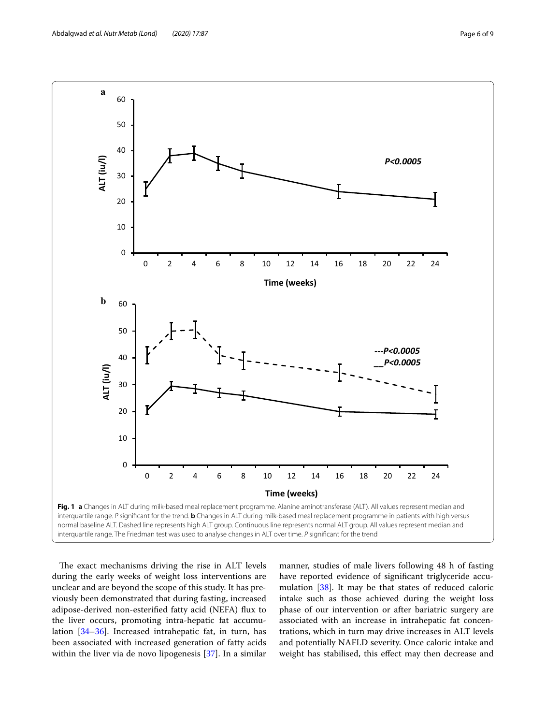

<span id="page-5-0"></span>interquartile range. The Friedman test was used to analyse changes in ALT over time. *P* signifcant for the trend

The exact mechanisms driving the rise in ALT levels during the early weeks of weight loss interventions are unclear and are beyond the scope of this study. It has previously been demonstrated that during fasting, increased adipose-derived non-esterifed fatty acid (NEFA) fux to the liver occurs, promoting intra-hepatic fat accumulation [[34–](#page-7-27)[36\]](#page-7-28). Increased intrahepatic fat, in turn, has been associated with increased generation of fatty acids within the liver via de novo lipogenesis [\[37\]](#page-7-29). In a similar manner, studies of male livers following 48 h of fasting have reported evidence of signifcant triglyceride accumulation [\[38\]](#page-7-30). It may be that states of reduced caloric intake such as those achieved during the weight loss phase of our intervention or after bariatric surgery are associated with an increase in intrahepatic fat concentrations, which in turn may drive increases in ALT levels and potentially NAFLD severity. Once caloric intake and weight has stabilised, this efect may then decrease and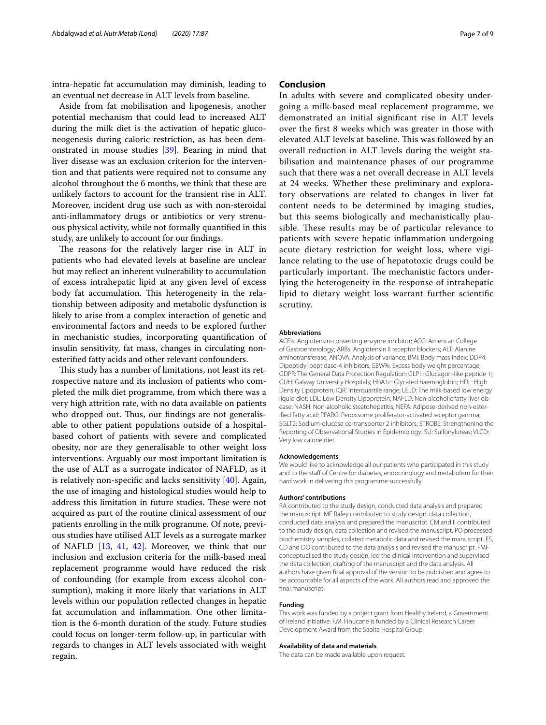intra-hepatic fat accumulation may diminish, leading to an eventual net decrease in ALT levels from baseline.

Aside from fat mobilisation and lipogenesis, another potential mechanism that could lead to increased ALT during the milk diet is the activation of hepatic gluconeogenesis during caloric restriction, as has been demonstrated in mouse studies [\[39\]](#page-7-31). Bearing in mind that liver disease was an exclusion criterion for the intervention and that patients were required not to consume any alcohol throughout the 6 months, we think that these are unlikely factors to account for the transient rise in ALT. Moreover, incident drug use such as with non-steroidal anti-infammatory drugs or antibiotics or very strenuous physical activity, while not formally quantifed in this study, are unlikely to account for our fndings.

The reasons for the relatively larger rise in ALT in patients who had elevated levels at baseline are unclear but may refect an inherent vulnerability to accumulation of excess intrahepatic lipid at any given level of excess body fat accumulation. This heterogeneity in the relationship between adiposity and metabolic dysfunction is likely to arise from a complex interaction of genetic and environmental factors and needs to be explored further in mechanistic studies, incorporating quantifcation of insulin sensitivity, fat mass, changes in circulating nonesterifed fatty acids and other relevant confounders.

This study has a number of limitations, not least its retrospective nature and its inclusion of patients who completed the milk diet programme, from which there was a very high attrition rate, with no data available on patients who dropped out. Thus, our findings are not generalisable to other patient populations outside of a hospitalbased cohort of patients with severe and complicated obesity, nor are they generalisable to other weight loss interventions. Arguably our most important limitation is the use of ALT as a surrogate indicator of NAFLD, as it is relatively non-specifc and lacks sensitivity [\[40](#page-7-32)]. Again, the use of imaging and histological studies would help to address this limitation in future studies. These were not acquired as part of the routine clinical assessment of our patients enrolling in the milk programme. Of note, previous studies have utilised ALT levels as a surrogate marker of NAFLD [[13](#page-7-6), [41](#page-8-0), [42\]](#page-8-1). Moreover, we think that our inclusion and exclusion criteria for the milk-based meal replacement programme would have reduced the risk of confounding (for example from excess alcohol consumption), making it more likely that variations in ALT levels within our population refected changes in hepatic fat accumulation and infammation. One other limitation is the 6-month duration of the study. Future studies could focus on longer-term follow-up, in particular with regards to changes in ALT levels associated with weight regain.

# **Conclusion**

In adults with severe and complicated obesity undergoing a milk-based meal replacement programme, we demonstrated an initial signifcant rise in ALT levels over the frst 8 weeks which was greater in those with elevated ALT levels at baseline. This was followed by an overall reduction in ALT levels during the weight stabilisation and maintenance phases of our programme such that there was a net overall decrease in ALT levels at 24 weeks. Whether these preliminary and exploratory observations are related to changes in liver fat content needs to be determined by imaging studies, but this seems biologically and mechanistically plausible. These results may be of particular relevance to patients with severe hepatic infammation undergoing acute dietary restriction for weight loss, where vigilance relating to the use of hepatotoxic drugs could be particularly important. The mechanistic factors underlying the heterogeneity in the response of intrahepatic lipid to dietary weight loss warrant further scientifc scrutiny.

#### **Abbreviations**

ACEIs: Angiotensin-converting enzyme inhibitor; ACG: American College of Gastroenterology; ARBs: Angiotensin II receptor blockers; ALT: Alanine aminotransferase; ANOVA: Analysis of variance; BMI: Body mass index; DDP4: Dipeptidyl peptidase-4 inhibitors; EBW%: Excess body weight percentage; GDPR: The General Data Protection Regulation; GLP1: Glucagon-like peptide 1; GUH: Galway University Hospitals; HbA1c: Glycated haemoglobin; HDL: High Density Lipoprotein; IQR: Interquartile range; LELD: The milk-based low energy liquid diet; LDL: Low Density Lipoprotein; NAFLD: Non-alcoholic fatty liver disease; NASH: Non-alcoholic steatohepatitis; NEFA: Adipose-derived non-esterifed fatty acid; PPARG: Peroxisome proliferator-activated receptor gamma; SGLT2: Sodium-glucose co-transporter 2 inhibitors; STROBE: Strengthening the Reporting of Observational Studies in Epidemiology; SU: Sulfonylureas; VLCD: Very low calorie diet.

#### **Acknowledgements**

We would like to acknowledge all our patients who participated in this study and to the staff of Centre for diabetes, endocrinology and metabolism for their hard work in delivering this programme successfully.

#### **Authors' contributions**

RA contributed to the study design, conducted data analysis and prepared the manuscript. MF Rafey contributed to study design, data collection, conducted data analysis and prepared the manuscript. CM and II contributed to the study design, data collection and revised the manuscript. PO processed biochemistry samples, collated metabolic data and revised the manuscript. ES, CD and DO contributed to the data analysis and revised the manuscript. FMF conceptualised the study design, led the clinical intervention and supervised the data collection, drafting of the manuscript and the data analysis. All authors have given fnal approval of the version to be published and agree to be accountable for all aspects of the work. All authors read and approved the final manuscript.

#### **Funding**

This work was funded by a project grant from Healthy Ireland, a Government of Ireland initiative. F.M. Finucane is funded by a Clinical Research Career Development Award from the Saolta Hospital Group.

#### **Availability of data and materials**

The data can be made available upon request.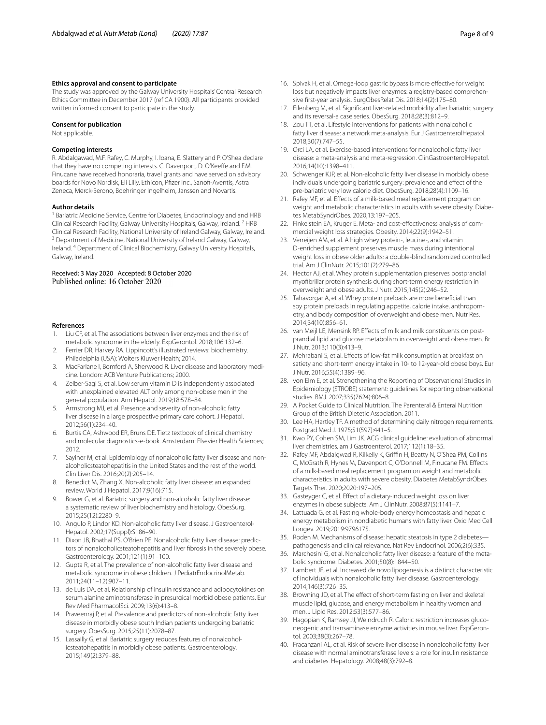#### **Ethics approval and consent to participate**

The study was approved by the Galway University Hospitals' Central Research Ethics Committee in December 2017 (ref CA 1900). All participants provided written informed consent to participate in the study.

#### **Consent for publication**

Not applicable.

#### **Competing interests**

R. Abdalgawad, M.F. Rafey, C. Murphy, I. Ioana, E. Slattery and P. O'Shea declare that they have no competing interests. C. Davenport, D. O'Keeffe and F.M. Finucane have received honoraria, travel grants and have served on advisory boards for Novo Nordisk, Eli Lilly, Ethicon, Pfzer Inc., Sanof-Aventis, Astra Zeneca, Merck-Serono, Boehringer Ingelheim, Janssen and Novartis.

#### **Author details**

<sup>1</sup> Bariatric Medicine Service, Centre for Diabetes, Endocrinology and and HRB Clinical Research Facility, Galway University Hospitals, Galway, Ireland. <sup>2</sup> HRB Clinical Research Facility, National University of Ireland Galway, Galway, Ireland.<br><sup>3</sup> Department of Medicine, National University of Ireland Galway, Galway, Ireland. <sup>4</sup> Department of Clinical Biochemistry, Galway University Hospitals, Galway, Ireland.

# Received: 3 May 2020 Accepted: 8 October 2020<br>Published online: 16 October 2020

#### **References**

- <span id="page-7-0"></span>1. Liu CF, et al. The associations between liver enzymes and the risk of metabolic syndrome in the elderly. ExpGerontol. 2018;106:132–6.
- 2. Ferrier DR, Harvey RA. Lippincott's illustrated reviews: biochemistry. Philadelphia (USA): Wolters Kluwer Health; 2014.
- <span id="page-7-1"></span>3. MacFarlane I, Bomford A, Sherwood R. Liver disease and laboratory medicine. London: ACB Venture Publications; 2000.
- <span id="page-7-2"></span>4. Zelber-Sagi S, et al. Low serum vitamin D is independently associated with unexplained elevated ALT only among non-obese men in the general population. Ann Hepatol. 2019;18:578–84.
- 5. Armstrong MJ, et al. Presence and severity of non-alcoholic fatty liver disease in a large prospective primary care cohort. J Hepatol. 2012;56(1):234–40.
- 6. Burtis CA, Ashwood ER, Bruns DE. Tietz textbook of clinical chemistry and molecular diagnostics-e-book. Amsterdam: Elsevier Health Sciences; 2012.
- 7. Sayiner M, et al. Epidemiology of nonalcoholic fatty liver disease and nonalcoholicsteatohepatitis in the United States and the rest of the world. Clin Liver Dis. 2016;20(2):205–14.
- <span id="page-7-3"></span>8. Benedict M, Zhang X. Non-alcoholic fatty liver disease: an expanded review. World J Hepatol. 2017;9(16):715.
- <span id="page-7-4"></span>9. Bower G, et al. Bariatric surgery and non-alcoholic fatty liver disease: a systematic review of liver biochemistry and histology. ObesSurg. 2015;25(12):2280–9.
- 10. Angulo P, Lindor KD. Non-alcoholic fatty liver disease. J Gastroenterol-Hepatol. 2002;17(Suppl):S186–90.
- 11. Dixon JB, Bhathal PS, O'Brien PE. Nonalcoholic fatty liver disease: predictors of nonalcoholicsteatohepatitis and liver fbrosis in the severely obese. Gastroenterology. 2001;121(1):91–100.
- <span id="page-7-5"></span>12. Gupta R, et al. The prevalence of non-alcoholic fatty liver disease and metabolic syndrome in obese children. J PediatrEndocrinolMetab. 2011;24(11–12):907–11.
- <span id="page-7-6"></span>13. de Luis DA, et al. Relationship of insulin resistance and adipocytokines on serum alanine aminotransferase in presurgical morbid obese patients. Eur Rev Med PharmacolSci. 2009;13(6):413–8.
- <span id="page-7-7"></span>14. Praveenraj P, et al. Prevalence and predictors of non-alcoholic fatty liver disease in morbidly obese south Indian patients undergoing bariatric surgery. ObesSurg. 2015;25(11):2078–87.
- <span id="page-7-8"></span>15. Lassailly G, et al. Bariatric surgery reduces features of nonalcoholicsteatohepatitis in morbidly obese patients. Gastroenterology. 2015;149(2):379–88.
- <span id="page-7-9"></span>16. Spivak H, et al. Omega-loop gastric bypass is more efective for weight loss but negatively impacts liver enzymes: a registry-based comprehensive frst-year analysis. SurgObesRelat Dis. 2018;14(2):175–80.
- <span id="page-7-10"></span>17. Eilenberg M, et al. Signifcant liver-related morbidity after bariatric surgery and its reversal-a case series. ObesSurg. 2018;28(3):812–9.
- <span id="page-7-11"></span>18. Zou TT, et al. Lifestyle interventions for patients with nonalcoholic fatty liver disease: a network meta-analysis. Eur J GastroenterolHepatol. 2018;30(7):747–55.
- <span id="page-7-12"></span>19. Orci LA, et al. Exercise-based interventions for nonalcoholic fatty liver disease: a meta-analysis and meta-regression. ClinGastroenterolHepatol. 2016;14(10):1398–411.
- <span id="page-7-13"></span>20. Schwenger KJP, et al. Non-alcoholic fatty liver disease in morbidly obese individuals undergoing bariatric surgery: prevalence and efect of the pre-bariatric very low calorie diet. ObesSurg. 2018;28(4):1109–16.
- <span id="page-7-14"></span>21. Rafey MF, et al. Efects of a milk-based meal replacement program on weight and metabolic characteristics in adults with severe obesity. Diabetes MetabSyndrObes. 2020;13:197–205.
- <span id="page-7-15"></span>22. Finkelstein EA, Kruger E. Meta- and cost-efectiveness analysis of commercial weight loss strategies. Obesity. 2014;22(9):1942–51.
- <span id="page-7-16"></span>23. Verreijen AM, et al. A high whey protein-, leucine-, and vitamin D-enriched supplement preserves muscle mass during intentional weight loss in obese older adults: a double-blind randomized controlled trial. Am J ClinNutr. 2015;101(2):279–86.
- <span id="page-7-17"></span>24. Hector AJ, et al. Whey protein supplementation preserves postprandial myofbrillar protein synthesis during short-term energy restriction in overweight and obese adults. J Nutr. 2015;145(2):246–52.
- <span id="page-7-18"></span>25. Tahavorgar A, et al. Whey protein preloads are more benefcial than soy protein preloads in regulating appetite, calorie intake, anthropometry, and body composition of overweight and obese men. Nutr Res. 2014;34(10):856–61.
- <span id="page-7-19"></span>26. van Meijl LE, Mensink RP. Efects of milk and milk constituents on postprandial lipid and glucose metabolism in overweight and obese men. Br J Nutr. 2013;110(3):413–9.
- <span id="page-7-20"></span>27. Mehrabani S, et al. Effects of low-fat milk consumption at breakfast on satiety and short-term energy intake in 10- to 12-year-old obese boys. Eur J Nutr. 2016;55(4):1389–96.
- <span id="page-7-21"></span>28. von Elm E, et al. Strengthening the Reporting of Observational Studies in Epidemiology (STROBE) statement: guidelines for reporting observational studies. BMJ. 2007;335(7624):806–8.
- <span id="page-7-22"></span>29. A Pocket Guide to Clinical Nutrition. The Parenteral & Enteral Nutrition Group of the British Dietetic Association. 2011.
- <span id="page-7-23"></span>30. Lee HA, Hartley TF. A method of determining daily nitrogen requirements. Postgrad Med J. 1975;51(597):441–5.
- <span id="page-7-24"></span>31. Kwo PY, Cohen SM, Lim JK. ACG clinical guideline: evaluation of abnormal liver chemistries. am J Gastroenterol. 2017;112(1):18–35.
- <span id="page-7-25"></span>32. Rafey MF, Abdalgwad R, Kilkelly K, Griffin H, Beatty N, O'Shea PM, Collins C, McGrath R, Hynes M, Davenport C, O'Donnell M, Finucane FM. Efects of a milk-based meal replacement program on weight and metabolic characteristics in adults with severe obesity. Diabetes MetabSyndrObes Targets Ther. 2020;2020:197–205.
- <span id="page-7-26"></span>33. Gasteyger C, et al. Efect of a dietary-induced weight loss on liver enzymes in obese subjects. Am J ClinNutr. 2008;87(5):1141–7.
- <span id="page-7-27"></span>34. Lattuada G, et al. Fasting whole-body energy homeostasis and hepatic energy metabolism in nondiabetic humans with fatty liver. Oxid Med Cell Longev. 2019;2019:9796175.
- 35. Roden M. Mechanisms of disease: hepatic steatosis in type 2 diabetes pathogenesis and clinical relevance. Nat Rev Endocrinol. 2006;2(6):335.
- <span id="page-7-28"></span>36. Marchesini G, et al. Nonalcoholic fatty liver disease: a feature of the metabolic syndrome. Diabetes. 2001;50(8):1844–50.
- <span id="page-7-29"></span>37. Lambert JE, et al. Increased de novo lipogenesis is a distinct characteristic of individuals with nonalcoholic fatty liver disease. Gastroenterology. 2014;146(3):726–35.
- <span id="page-7-30"></span>38. Browning JD, et al. The effect of short-term fasting on liver and skeletal muscle lipid, glucose, and energy metabolism in healthy women and men. J Lipid Res. 2012;53(3):577–86.
- <span id="page-7-31"></span>39. Hagopian K, Ramsey JJ, Weindruch R. Caloric restriction increases gluconeogenic and transaminase enzyme activities in mouse liver. ExpGerontol. 2003;38(3):267–78.
- <span id="page-7-32"></span>40. Fracanzani AL, et al. Risk of severe liver disease in nonalcoholic fatty liver disease with normal aminotransferase levels: a role for insulin resistance and diabetes. Hepatology. 2008;48(3):792–8.